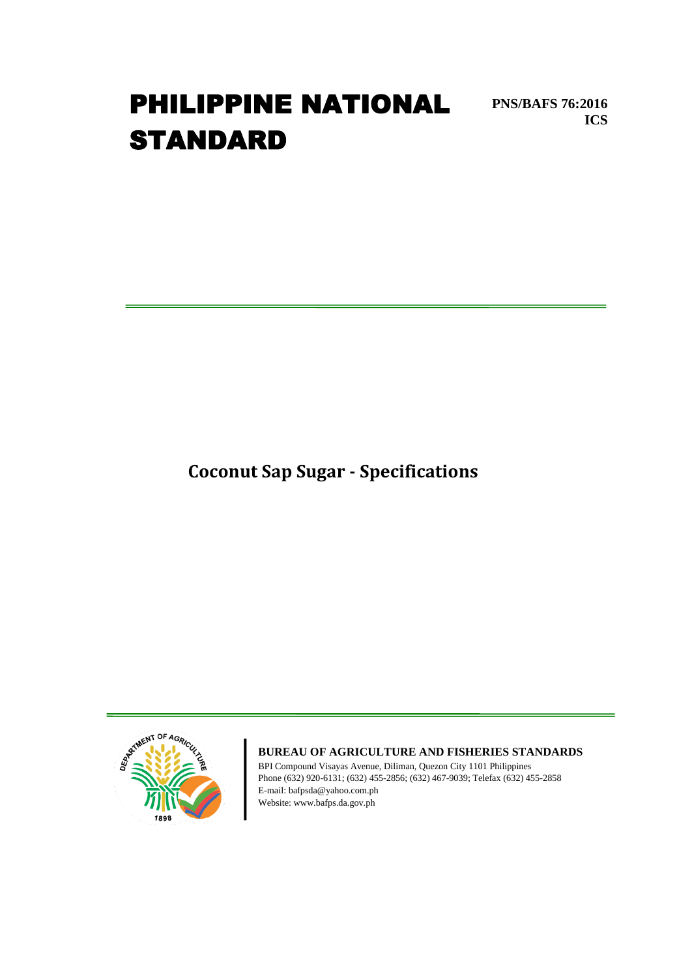# **PHILIPPINE NATIONAL** PNS/BAFS 76:2016 **STANDARD**

**Coconut Sap Sugar - Specifications**

**ICS**

RTMENT OF AGR

## **BUREAU OF AGRICULTURE AND FISHERIES STANDARDS**

BPI Compound Visayas Avenue, Diliman, Quezon City 1101 Philippines Phone (632) 920-6131; (632) 455-2856; (632) 467-9039; Telefax (632) 455-2858 E-mail: bafpsda@yahoo.com.ph Website: www.bafps.da.gov.ph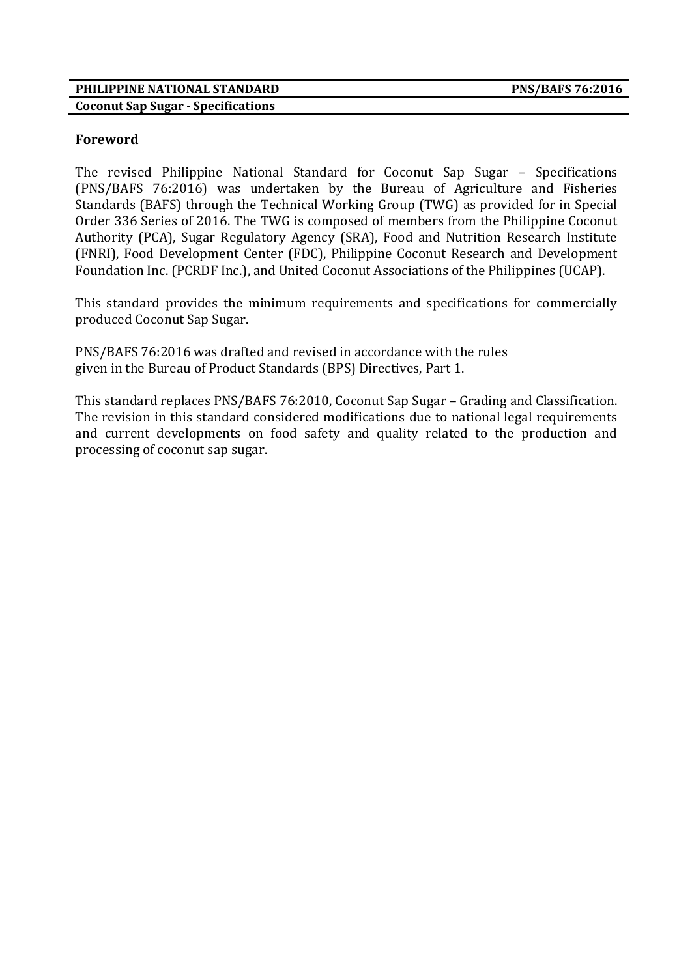#### **PHILIPPINE NATIONAL STANDARD PNS/BAFS 76:2016 Coconut Sap Sugar - Specifications**

## **Foreword**

The revised Philippine National Standard for Coconut Sap Sugar – Specifications (PNS/BAFS 76:2016) was undertaken by the Bureau of Agriculture and Fisheries Standards (BAFS) through the Technical Working Group (TWG) as provided for in Special Order 336 Series of 2016. The TWG is composed of members from the Philippine Coconut Authority (PCA), Sugar Regulatory Agency (SRA), Food and Nutrition Research Institute (FNRI), Food Development Center (FDC), Philippine Coconut Research and Development Foundation Inc. (PCRDF Inc.), and United Coconut Associations of the Philippines (UCAP).

This standard provides the minimum requirements and specifications for commercially produced Coconut Sap Sugar.

PNS/BAFS 76:2016 was drafted and revised in accordance with the rules given in the Bureau of Product Standards (BPS) Directives, Part 1.

This standard replaces PNS/BAFS 76:2010, Coconut Sap Sugar – Grading and Classification. The revision in this standard considered modifications due to national legal requirements and current developments on food safety and quality related to the production and processing of coconut sap sugar.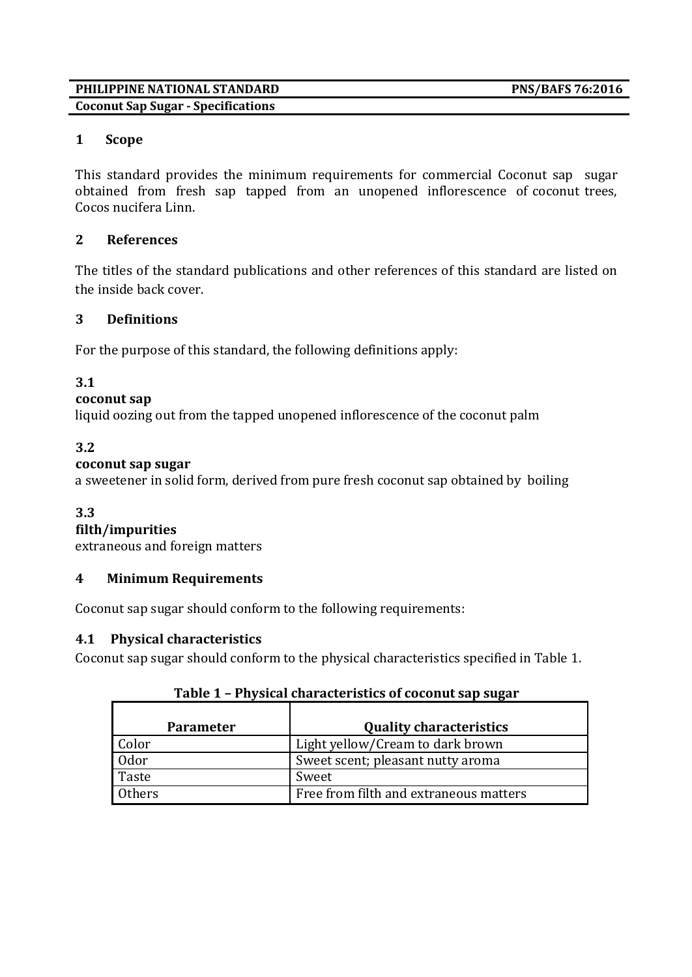#### **PHILIPPINE NATIONAL STANDARD PNS/BAFS 76:2016 Coconut Sap Sugar - Specifications**

# **1 Scope**

This standard provides the minimum requirements for commercial Coconut sap sugar obtained from fresh sap tapped from an unopened inflorescence of coconut trees, Cocos nucifera Linn.

# **2 References**

The titles of the standard publications and other references of this standard are listed on the inside back cover.

# **3 Definitions**

For the purpose of this standard, the following definitions apply:

# **3.1**

# **coconut sap**

liquid oozing out from the tapped unopened inflorescence of the coconut palm

# **3.2**

# **coconut sap sugar**

a sweetener in solid form, derived from pure fresh coconut sap obtained by boiling

# **3.3**

**filth/impurities**

extraneous and foreign matters

# **4 Minimum Requirements**

Coconut sap sugar should conform to the following requirements:

# **4.1 Physical characteristics**

Coconut sap sugar should conform to the physical characteristics specified in Table 1.

| <b>Parameter</b> | <b>Quality characteristics</b>         |
|------------------|----------------------------------------|
| Color            | Light yellow/Cream to dark brown       |
| 0 <sub>dot</sub> | Sweet scent; pleasant nutty aroma      |
| Taste            | Sweet                                  |
| Others           | Free from filth and extraneous matters |

# **Table 1 – Physical characteristics of coconut sap sugar**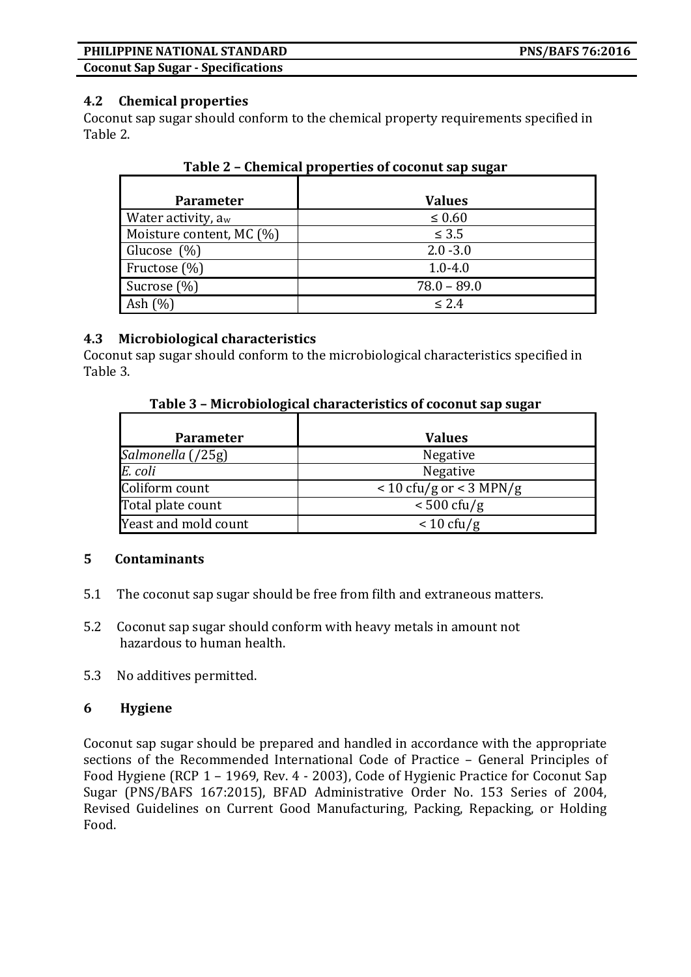#### **PHILIPPINE NATIONAL STANDARD PNS/BAFS 76:2016**

**Coconut Sap Sugar - Specifications**

#### **4.2 Chemical properties**

Coconut sap sugar should conform to the chemical property requirements specified in Table 2.

| <b>Parameter</b>               | <b>Values</b> |
|--------------------------------|---------------|
| Water activity, a <sub>w</sub> | $\leq 0.60$   |
| Moisture content, MC (%)       | $\leq 3.5$    |
| Glucose (%)                    | $2.0 - 3.0$   |
| Fructose (%)                   | $1.0 - 4.0$   |
|                                | $78.0 - 89.0$ |
| Sucrose $(\%)$                 |               |
| Ash $(\%)$                     | < 2.4         |

|  | Table 2 - Chemical properties of coconut sap sugar |  |
|--|----------------------------------------------------|--|
|  |                                                    |  |

## **4.3 Microbiological characteristics**

Coconut sap sugar should conform to the microbiological characteristics specified in Table 3.

|  | Table 3 - Microbiological characteristics of coconut sap sugar |
|--|----------------------------------------------------------------|
|  |                                                                |

| <b>Parameter</b>     | <b>Values</b>               |
|----------------------|-----------------------------|
| Salmonella (/25g)    | <b>Negative</b>             |
| E. coli              | Negative                    |
| Coliform count       | $<$ 10 cfu/g or $<$ 3 MPN/g |
| Total plate count    | $< 500 \text{ cfu/g}$       |
| Yeast and mold count | $< 10 \text{ cfty/g}$       |

#### **5 Contaminants**

- 5.1 The coconut sap sugar should be free from filth and extraneous matters.
- 5.2 Coconut sap sugar should conform with heavy metals in amount not hazardous to human health.
- 5.3 No additives permitted.

#### **6 Hygiene**

Coconut sap sugar should be prepared and handled in accordance with the appropriate sections of the Recommended International Code of Practice – General Principles of Food Hygiene (RCP 1 – 1969, Rev. 4 - 2003), Code of Hygienic Practice for Coconut Sap Sugar (PNS/BAFS 167:2015), BFAD Administrative Order No. 153 Series of 2004, Revised Guidelines on Current Good Manufacturing, Packing, Repacking, or Holding Food.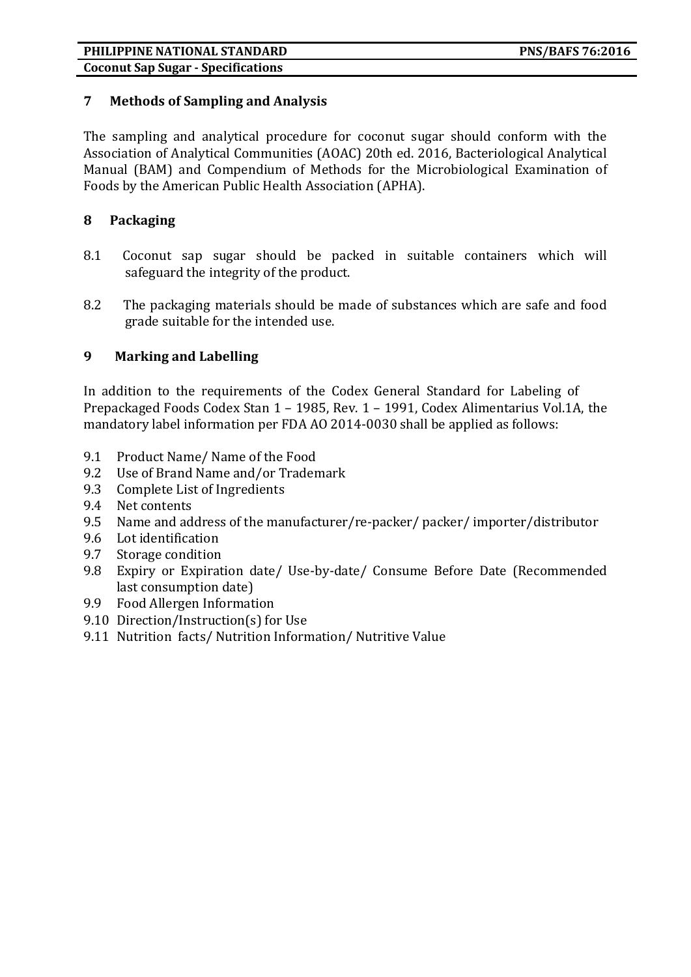## **PHILIPPINE NATIONAL STANDARD PNS/BAFS 76:2016**

**Coconut Sap Sugar - Specifications**

## **7 Methods of Sampling and Analysis**

The sampling and analytical procedure for coconut sugar should conform with the Association of Analytical Communities (AOAC) 20th ed. 2016, Bacteriological Analytical Manual (BAM) and Compendium of Methods for the Microbiological Examination of Foods by the American Public Health Association (APHA).

## **8 Packaging**

- 8.1 Coconut sap sugar should be packed in suitable containers which will safeguard the integrity of the product.
- 8.2 The packaging materials should be made of substances which are safe and food grade suitable for the intended use.

# **9 Marking and Labelling**

In addition to the requirements of the Codex General Standard for Labeling of Prepackaged Foods Codex Stan 1 – 1985, Rev. 1 – 1991, Codex Alimentarius Vol.1A, the mandatory label information per FDA AO 2014-0030 shall be applied as follows:

- 9.1 Product Name/ Name of the Food
- 9.2 Use of Brand Name and/or Trademark
- 9.3 Complete List of Ingredients
- 9.4 Net contents
- 9.5 Name and address of the manufacturer/re-packer/ packer/ importer/distributor
- 9.6 Lot identification
- 9.7 Storage condition
- 9.8 Expiry or Expiration date/ Use-by-date/ Consume Before Date (Recommended last consumption date)
- 9.9 Food Allergen Information
- 9.10 Direction/Instruction(s) for Use
- 9.11 Nutrition facts/ Nutrition Information/ Nutritive Value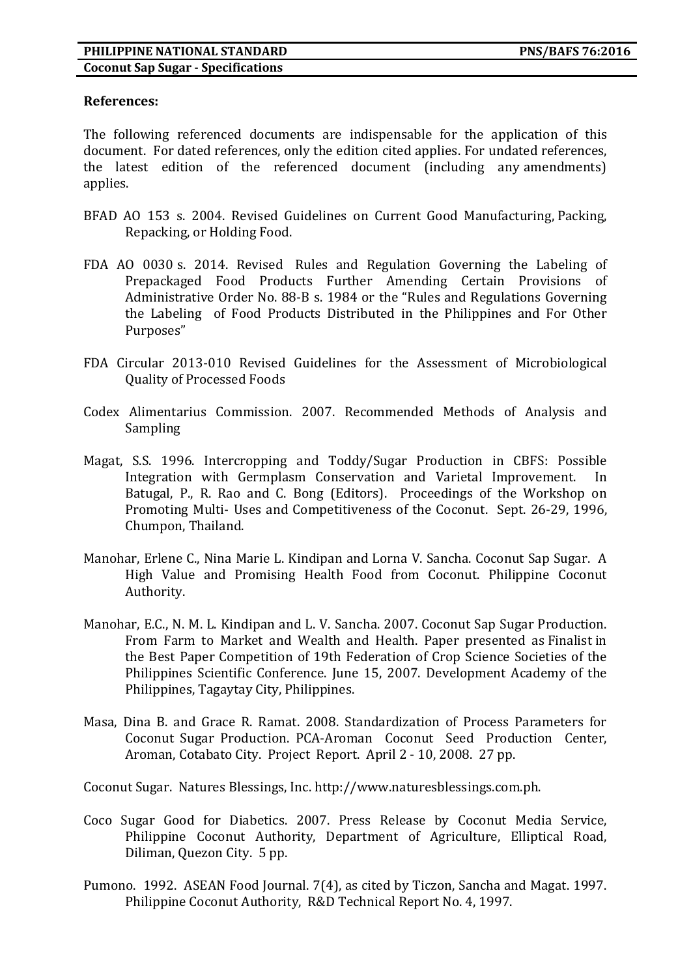#### **References:**

The following referenced documents are indispensable for the application of this document. For dated references, only the edition cited applies. For undated references, the latest edition of the referenced document (including any amendments) applies.

- BFAD AO 153 s. 2004. Revised Guidelines on Current Good Manufacturing, Packing, Repacking, or Holding Food.
- FDA AO 0030 s. 2014. Revised Rules and Regulation Governing the Labeling of Prepackaged Food Products Further Amending Certain Provisions of Administrative Order No. 88-B s. 1984 or the "Rules and Regulations Governing the Labeling of Food Products Distributed in the Philippines and For Other Purposes"
- FDA Circular 2013-010 Revised Guidelines for the Assessment of Microbiological Quality of Processed Foods
- Codex Alimentarius Commission. 2007. Recommended Methods of Analysis and Sampling
- Magat, S.S. 1996. Intercropping and Toddy/Sugar Production in CBFS: Possible Integration with Germplasm Conservation and Varietal Improvement. In Batugal, P., R. Rao and C. Bong (Editors). Proceedings of the Workshop on Promoting Multi- Uses and Competitiveness of the Coconut. Sept. 26-29, 1996, Chumpon, Thailand.
- Manohar, Erlene C., Nina Marie L. Kindipan and Lorna V. Sancha. Coconut Sap Sugar. A High Value and Promising Health Food from Coconut. Philippine Coconut Authority.
- Manohar, E.C., N. M. L. Kindipan and L. V. Sancha. 2007. Coconut Sap Sugar Production. From Farm to Market and Wealth and Health. Paper presented as Finalist in the Best Paper Competition of 19th Federation of Crop Science Societies of the Philippines Scientific Conference. June 15, 2007. Development Academy of the Philippines, Tagaytay City, Philippines.
- Masa, Dina B. and Grace R. Ramat. 2008. Standardization of Process Parameters for Coconut Sugar Production. PCA-Aroman Coconut Seed Production Center, Aroman, Cotabato City. Project Report. April 2 - 10, 2008. 27 pp.

Coconut Sugar. Natures Blessings, Inc. http://www.naturesblessings.com.ph.

- Coco Sugar Good for Diabetics. 2007. Press Release by Coconut Media Service, Philippine Coconut Authority, Department of Agriculture, Elliptical Road, Diliman, Quezon City. 5 pp.
- Pumono. 1992. ASEAN Food Journal. 7(4), as cited by Ticzon, Sancha and Magat. 1997. Philippine Coconut Authority, R&D Technical Report No. 4, 1997.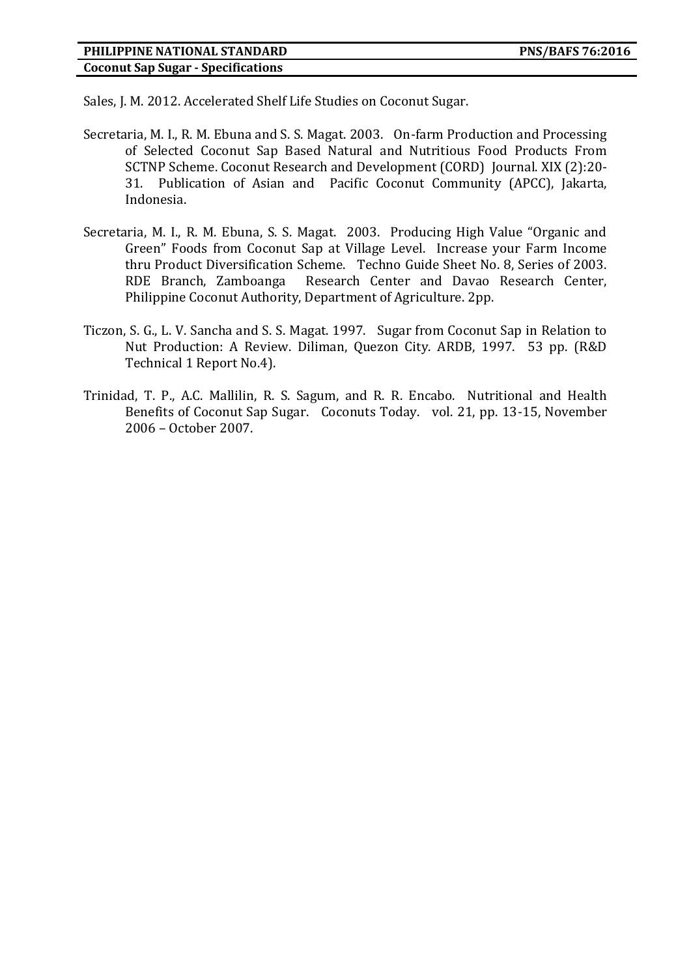Sales, J. M. 2012. Accelerated Shelf Life Studies on Coconut Sugar.

- Secretaria, M. I., R. M. Ebuna and S. S. Magat. 2003. On-farm Production and Processing of Selected Coconut Sap Based Natural and Nutritious Food Products From SCTNP Scheme. Coconut Research and Development (CORD) Journal. XIX (2):20- 31. Publication of Asian and Pacific Coconut Community (APCC), Jakarta, Indonesia.
- Secretaria, M. I., R. M. Ebuna, S. S. Magat. 2003. Producing High Value "Organic and Green" Foods from Coconut Sap at Village Level. Increase your Farm Income thru Product Diversification Scheme. Techno Guide Sheet No. 8, Series of 2003. RDE Branch, Zamboanga Research Center and Davao Research Center, Philippine Coconut Authority, Department of Agriculture. 2pp.
- Ticzon, S. G., L. V. Sancha and S. S. Magat. 1997. Sugar from Coconut Sap in Relation to Nut Production: A Review. Diliman, Quezon City. ARDB, 1997. 53 pp. (R&D Technical 1 Report No.4).
- Trinidad, T. P., A.C. Mallilin, R. S. Sagum, and R. R. Encabo. Nutritional and Health Benefits of Coconut Sap Sugar. Coconuts Today. vol. 21, pp. 13-15, November 2006 – October 2007.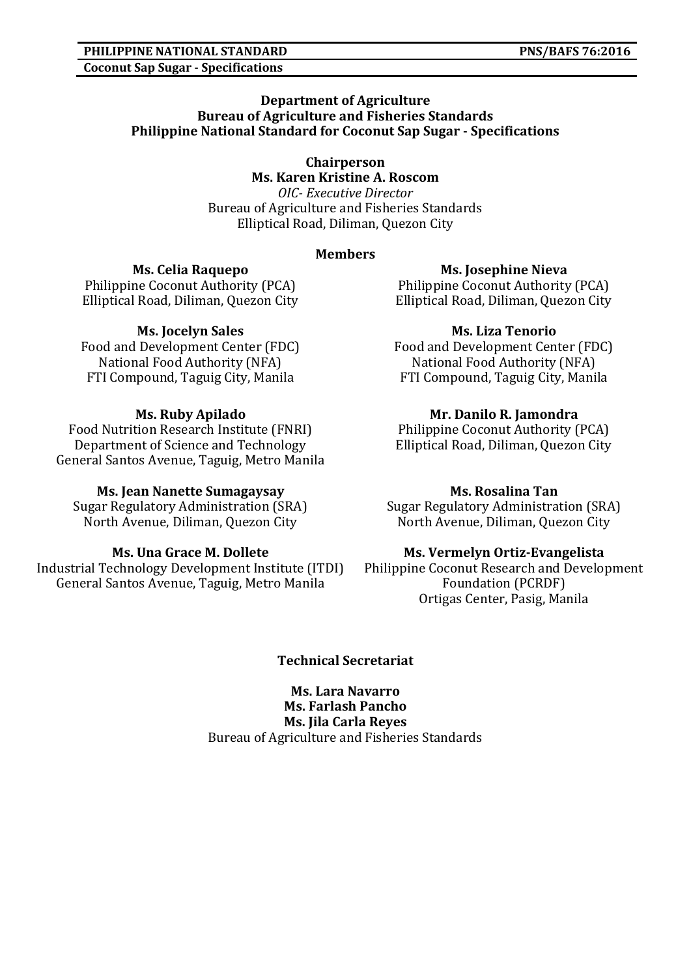#### **PHILIPPINE NATIONAL STANDARD PNS/BAFS 76:2016 Coconut Sap Sugar - Specifications**

#### **Department of Agriculture Bureau of Agriculture and Fisheries Standards Philippine National Standard for Coconut Sap Sugar - Specifications**

**Chairperson Ms. Karen Kristine A. Roscom**

*OIC- Executive Director* Bureau of Agriculture and Fisheries Standards Elliptical Road, Diliman, Quezon City

## **Members**

**Ms. Celia Raquepo** Philippine Coconut Authority (PCA) Elliptical Road, Diliman, Quezon City

# **Ms. Jocelyn Sales**

Food and Development Center (FDC) National Food Authority (NFA) FTI Compound, Taguig City, Manila

# **Ms. Ruby Apilado**

Food Nutrition Research Institute (FNRI) Department of Science and Technology General Santos Avenue, Taguig, Metro Manila

# **Ms. Jean Nanette Sumagaysay**

Sugar Regulatory Administration (SRA) North Avenue, Diliman, Quezon City

# **Ms. Una Grace M. Dollete**

Industrial Technology Development Institute (ITDI) General Santos Avenue, Taguig, Metro Manila

**Ms. Josephine Nieva**

Philippine Coconut Authority (PCA) Elliptical Road, Diliman, Quezon City

## **Ms. Liza Tenorio**

Food and Development Center (FDC) National Food Authority (NFA) FTI Compound, Taguig City, Manila

## **Mr. Danilo R. Jamondra**

Philippine Coconut Authority (PCA) Elliptical Road, Diliman, Quezon City

## **Ms. Rosalina Tan**

Sugar Regulatory Administration (SRA) North Avenue, Diliman, Quezon City

## **Ms. Vermelyn Ortiz-Evangelista**

Philippine Coconut Research and Development Foundation (PCRDF) Ortigas Center, Pasig, Manila

## **Technical Secretariat**

**Ms. Lara Navarro Ms. Farlash Pancho Ms. Jila Carla Reyes** Bureau of Agriculture and Fisheries Standards